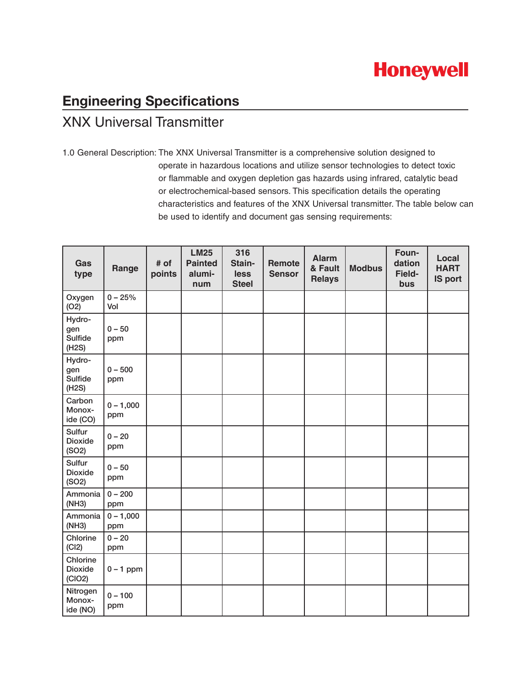# **Honeywell**

## **Engineering Specifications** XNX Universal Transmitter

1.0 General Description: The XNX Universal Transmitter is a comprehensive solution designed to operate in hazardous locations and utilize sensor technologies to detect toxic or flammable and oxygen depletion gas hazards using infrared, catalytic bead or electrochemical-based sensors. This specification details the operating characteristics and features of the XNX Universal transmitter. The table below can be used to identify and document gas sensing requirements:

| Gas<br>type                          | Range              | # of<br>points | <b>LM25</b><br><b>Painted</b><br>alumi-<br>num | 316<br>Stain-<br>less<br><b>Steel</b> | Remote<br><b>Sensor</b> | <b>Alarm</b><br>& Fault<br><b>Relays</b> | <b>Modbus</b> | Foun-<br>dation<br>Field-<br>bus | Local<br><b>HART</b><br><b>IS port</b> |
|--------------------------------------|--------------------|----------------|------------------------------------------------|---------------------------------------|-------------------------|------------------------------------------|---------------|----------------------------------|----------------------------------------|
| Oxygen<br>(O2)                       | $0 - 25%$<br>Vol   |                |                                                |                                       |                         |                                          |               |                                  |                                        |
| Hydro-<br>gen<br>Sulfide<br>(H2S)    | $0 - 50$<br>ppm    |                |                                                |                                       |                         |                                          |               |                                  |                                        |
| Hydro-<br>gen<br>Sulfide<br>(H2S)    | $0 - 500$<br>ppm   |                |                                                |                                       |                         |                                          |               |                                  |                                        |
| Carbon<br>Monox-<br>ide (CO)         | $0 - 1,000$<br>ppm |                |                                                |                                       |                         |                                          |               |                                  |                                        |
| Sulfur<br><b>Dioxide</b><br>(SO2)    | $0 - 20$<br>ppm    |                |                                                |                                       |                         |                                          |               |                                  |                                        |
| Sulfur<br><b>Dioxide</b><br>(SO2)    | $0 - 50$<br>ppm    |                |                                                |                                       |                         |                                          |               |                                  |                                        |
| Ammonia<br>(NH3)                     | $0 - 200$<br>ppm   |                |                                                |                                       |                         |                                          |               |                                  |                                        |
| Ammonia<br>(NH3)                     | $0 - 1,000$<br>ppm |                |                                                |                                       |                         |                                          |               |                                  |                                        |
| Chlorine<br>(CI2)                    | $0 - 20$<br>ppm    |                |                                                |                                       |                         |                                          |               |                                  |                                        |
| Chlorine<br><b>Dioxide</b><br>(CIO2) | $0 - 1$ ppm        |                |                                                |                                       |                         |                                          |               |                                  |                                        |
| Nitrogen<br>Monox-<br>ide (NO)       | $0 - 100$<br>ppm   |                |                                                |                                       |                         |                                          |               |                                  |                                        |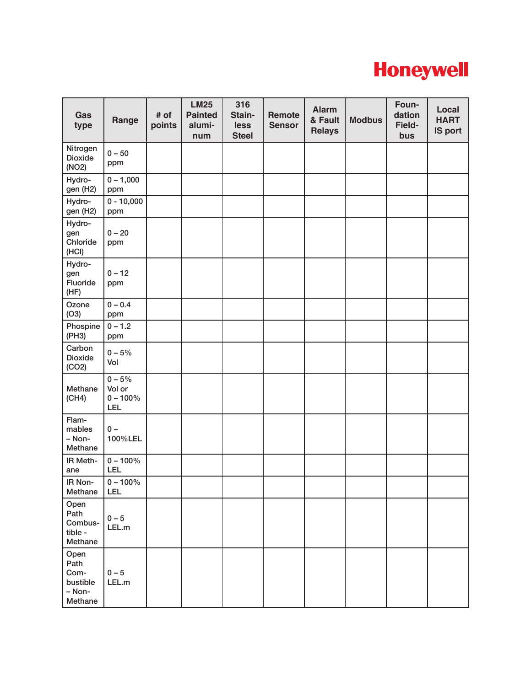

| Gas<br>type                                           | Range                                    | # of<br>points | <b>LM25</b><br><b>Painted</b><br>alumi-<br>num | 316<br>Stain-<br>less<br><b>Steel</b> | Remote<br><b>Sensor</b> | <b>Alarm</b><br>& Fault<br><b>Relays</b> | <b>Modbus</b> | Foun-<br>dation<br>Field-<br>bus | Local<br><b>HART</b><br><b>IS port</b> |
|-------------------------------------------------------|------------------------------------------|----------------|------------------------------------------------|---------------------------------------|-------------------------|------------------------------------------|---------------|----------------------------------|----------------------------------------|
| Nitrogen<br><b>Dioxide</b><br>(NO2)                   | $0 - 50$<br>ppm                          |                |                                                |                                       |                         |                                          |               |                                  |                                        |
| Hydro-<br>gen (H2)                                    | $0 - 1,000$<br>ppm                       |                |                                                |                                       |                         |                                          |               |                                  |                                        |
| Hydro-<br>gen (H2)                                    | $0 - 10,000$<br>ppm                      |                |                                                |                                       |                         |                                          |               |                                  |                                        |
| Hydro-<br>gen<br>Chloride<br>(HCI)                    | $0 - 20$<br>ppm                          |                |                                                |                                       |                         |                                          |               |                                  |                                        |
| Hydro-<br>gen<br>Fluoride<br>(HF)                     | $0 - 12$<br>ppm                          |                |                                                |                                       |                         |                                          |               |                                  |                                        |
| Ozone<br>(O3)                                         | $0 - 0.4$<br>ppm                         |                |                                                |                                       |                         |                                          |               |                                  |                                        |
| Phospine<br>(PH3)                                     | $0 - 1.2$<br>ppm                         |                |                                                |                                       |                         |                                          |               |                                  |                                        |
| Carbon<br><b>Dioxide</b><br>(CO2)                     | $0 - 5%$<br>Vol                          |                |                                                |                                       |                         |                                          |               |                                  |                                        |
| Methane<br>(CH4)                                      | $0 - 5%$<br>Vol or<br>$0 - 100\%$<br>LEL |                |                                                |                                       |                         |                                          |               |                                  |                                        |
| Flam-<br>mables<br>- Non-<br>Methane                  | $0 -$<br>100%LEL                         |                |                                                |                                       |                         |                                          |               |                                  |                                        |
| IR Meth-<br>ane                                       | $0 - 100\%$<br>LEL                       |                |                                                |                                       |                         |                                          |               |                                  |                                        |
| IR Non-<br>Methane                                    | $0 - 100\%$<br>LEL                       |                |                                                |                                       |                         |                                          |               |                                  |                                        |
| Open<br>Path<br>Combus-<br>tible -<br>Methane         | $0 - 5$<br>LEL.m                         |                |                                                |                                       |                         |                                          |               |                                  |                                        |
| Open<br>Path<br>Com-<br>bustible<br>- Non-<br>Methane | $0 - 5$<br>LEL.m                         |                |                                                |                                       |                         |                                          |               |                                  |                                        |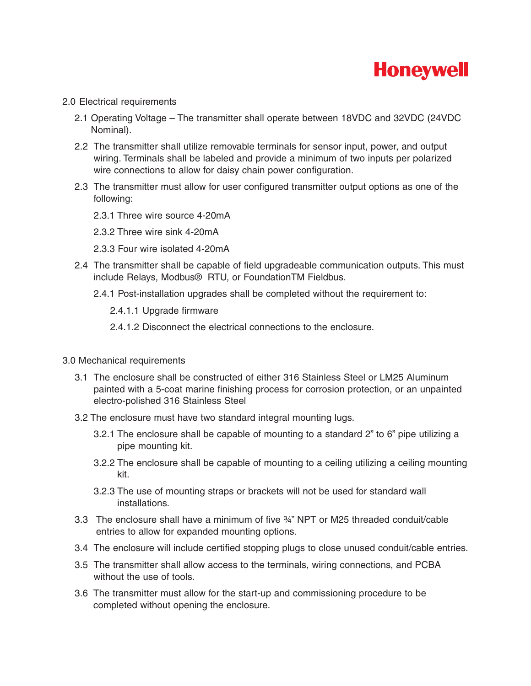

### 2.0 Electrical requirements

- 2.1 Operating Voltage The transmitter shall operate between 18VDC and 32VDC (24VDC Nominal).
- 2.2 The transmitter shall utilize removable terminals for sensor input, power, and output wiring. Terminals shall be labeled and provide a minimum of two inputs per polarized wire connections to allow for daisy chain power configuration.
- 2.3 The transmitter must allow for user configured transmitter output options as one of the following:
	- 2.3.1 Three wire source 4-20mA
	- 2.3.2 Three wire sink 4-20mA
	- 2.3.3 Four wire isolated 4-20mA
- 2.4 The transmitter shall be capable of field upgradeable communication outputs. This must include Relays, Modbus® RTU, or FoundationTM Fieldbus.
	- 2.4.1 Post-installation upgrades shall be completed without the requirement to:
		- 2.4.1.1 Upgrade firmware
		- 2.4.1.2 Disconnect the electrical connections to the enclosure.
- 3.0 Mechanical requirements
	- 3.1 The enclosure shall be constructed of either 316 Stainless Steel or LM25 Aluminum painted with a 5-coat marine finishing process for corrosion protection, or an unpainted electro-polished 316 Stainless Steel
	- 3.2 The enclosure must have two standard integral mounting lugs.
		- 3.2.1 The enclosure shall be capable of mounting to a standard 2" to 6" pipe utilizing a pipe mounting kit.
		- 3.2.2 The enclosure shall be capable of mounting to a ceiling utilizing a ceiling mounting kit.
		- 3.2.3 The use of mounting straps or brackets will not be used for standard wall installations.
	- 3.3 The enclosure shall have a minimum of five ¾" NPT or M25 threaded conduit/cable entries to allow for expanded mounting options.
	- 3.4 The enclosure will include certified stopping plugs to close unused conduit/cable entries.
	- 3.5 The transmitter shall allow access to the terminals, wiring connections, and PCBA without the use of tools.
	- 3.6 The transmitter must allow for the start-up and commissioning procedure to be completed without opening the enclosure.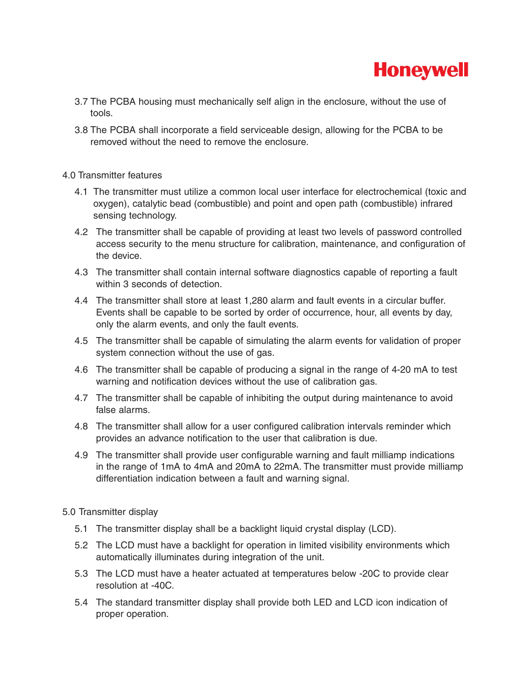

- 3.7 The PCBA housing must mechanically self align in the enclosure, without the use of tools.
- 3.8 The PCBA shall incorporate a field serviceable design, allowing for the PCBA to be removed without the need to remove the enclosure.

### 4.0 Transmitter features

- 4.1 The transmitter must utilize a common local user interface for electrochemical (toxic and oxygen), catalytic bead (combustible) and point and open path (combustible) infrared sensing technology.
- 4.2 The transmitter shall be capable of providing at least two levels of password controlled access security to the menu structure for calibration, maintenance, and configuration of the device.
- 4.3 The transmitter shall contain internal software diagnostics capable of reporting a fault within 3 seconds of detection.
- 4.4 The transmitter shall store at least 1,280 alarm and fault events in a circular buffer. Events shall be capable to be sorted by order of occurrence, hour, all events by day, only the alarm events, and only the fault events.
- 4.5 The transmitter shall be capable of simulating the alarm events for validation of proper system connection without the use of gas.
- 4.6 The transmitter shall be capable of producing a signal in the range of 4-20 mA to test warning and notification devices without the use of calibration gas.
- 4.7 The transmitter shall be capable of inhibiting the output during maintenance to avoid false alarms.
- 4.8 The transmitter shall allow for a user configured calibration intervals reminder which provides an advance notification to the user that calibration is due.
- 4.9 The transmitter shall provide user configurable warning and fault milliamp indications in the range of 1mA to 4mA and 20mA to 22mA. The transmitter must provide milliamp differentiation indication between a fault and warning signal.

### 5.0 Transmitter display

- 5.1 The transmitter display shall be a backlight liquid crystal display (LCD).
- 5.2 The LCD must have a backlight for operation in limited visibility environments which automatically illuminates during integration of the unit.
- 5.3 The LCD must have a heater actuated at temperatures below -20C to provide clear resolution at -40C.
- 5.4 The standard transmitter display shall provide both LED and LCD icon indication of proper operation.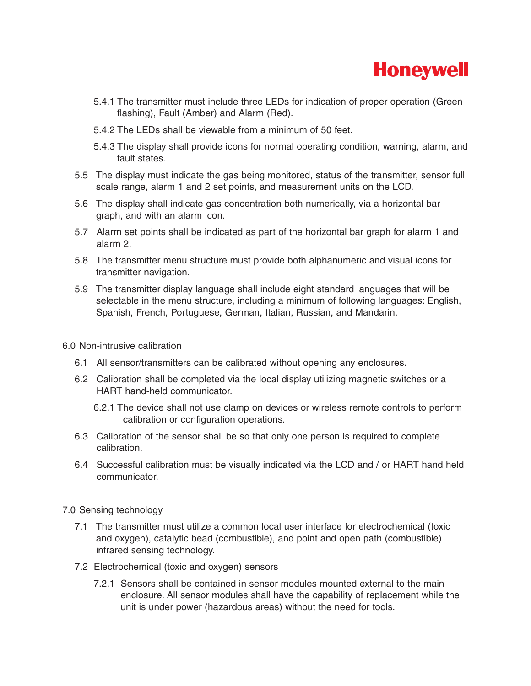

- 5.4.1 The transmitter must include three LEDs for indication of proper operation (Green flashing), Fault (Amber) and Alarm (Red).
- 5.4.2 The LEDs shall be viewable from a minimum of 50 feet.
- 5.4.3 The display shall provide icons for normal operating condition, warning, alarm, and fault states.
- 5.5 The display must indicate the gas being monitored, status of the transmitter, sensor full scale range, alarm 1 and 2 set points, and measurement units on the LCD.
- 5.6 The display shall indicate gas concentration both numerically, via a horizontal bar graph, and with an alarm icon.
- 5.7 Alarm set points shall be indicated as part of the horizontal bar graph for alarm 1 and alarm 2.
- 5.8 The transmitter menu structure must provide both alphanumeric and visual icons for transmitter navigation.
- 5.9 The transmitter display language shall include eight standard languages that will be selectable in the menu structure, including a minimum of following languages: English, Spanish, French, Portuguese, German, Italian, Russian, and Mandarin.

### 6.0 Non-intrusive calibration

- 6.1 All sensor/transmitters can be calibrated without opening any enclosures.
- 6.2 Calibration shall be completed via the local display utilizing magnetic switches or a HART hand-held communicator.
	- 6.2.1 The device shall not use clamp on devices or wireless remote controls to perform calibration or configuration operations.
- 6.3 Calibration of the sensor shall be so that only one person is required to complete calibration.
- 6.4 Successful calibration must be visually indicated via the LCD and / or HART hand held communicator.
- 7.0 Sensing technology
	- 7.1 The transmitter must utilize a common local user interface for electrochemical (toxic and oxygen), catalytic bead (combustible), and point and open path (combustible) infrared sensing technology.
	- 7.2 Electrochemical (toxic and oxygen) sensors
		- 7.2.1 Sensors shall be contained in sensor modules mounted external to the main enclosure. All sensor modules shall have the capability of replacement while the unit is under power (hazardous areas) without the need for tools.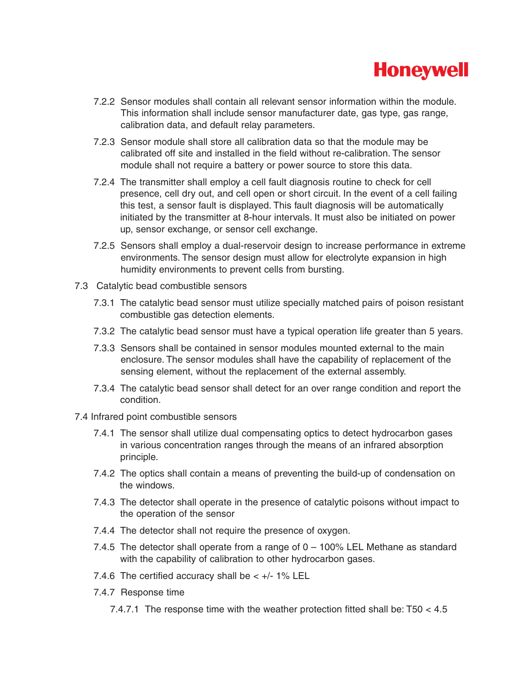

- 7.2.2 Sensor modules shall contain all relevant sensor information within the module. This information shall include sensor manufacturer date, gas type, gas range, calibration data, and default relay parameters.
- 7.2.3 Sensor module shall store all calibration data so that the module may be calibrated off site and installed in the field without re-calibration. The sensor module shall not require a battery or power source to store this data.
- 7.2.4 The transmitter shall employ a cell fault diagnosis routine to check for cell presence, cell dry out, and cell open or short circuit. In the event of a cell failing this test, a sensor fault is displayed. This fault diagnosis will be automatically initiated by the transmitter at 8-hour intervals. It must also be initiated on power up, sensor exchange, or sensor cell exchange.
- 7.2.5 Sensors shall employ a dual-reservoir design to increase performance in extreme environments. The sensor design must allow for electrolyte expansion in high humidity environments to prevent cells from bursting.
- 7.3 Catalytic bead combustible sensors
	- 7.3.1 The catalytic bead sensor must utilize specially matched pairs of poison resistant combustible gas detection elements.
	- 7.3.2 The catalytic bead sensor must have a typical operation life greater than 5 years.
	- 7.3.3 Sensors shall be contained in sensor modules mounted external to the main enclosure. The sensor modules shall have the capability of replacement of the sensing element, without the replacement of the external assembly.
	- 7.3.4 The catalytic bead sensor shall detect for an over range condition and report the condition.
- 7.4 Infrared point combustible sensors
	- 7.4.1 The sensor shall utilize dual compensating optics to detect hydrocarbon gases in various concentration ranges through the means of an infrared absorption principle.
	- 7.4.2 The optics shall contain a means of preventing the build-up of condensation on the windows.
	- 7.4.3 The detector shall operate in the presence of catalytic poisons without impact to the operation of the sensor
	- 7.4.4 The detector shall not require the presence of oxygen.
	- 7.4.5 The detector shall operate from a range of 0 100% LEL Methane as standard with the capability of calibration to other hydrocarbon gases.
	- 7.4.6 The certified accuracy shall be  $< +/- 1\%$  LEL
	- 7.4.7 Response time
		- 7.4.7.1 The response time with the weather protection fitted shall be: T50 < 4.5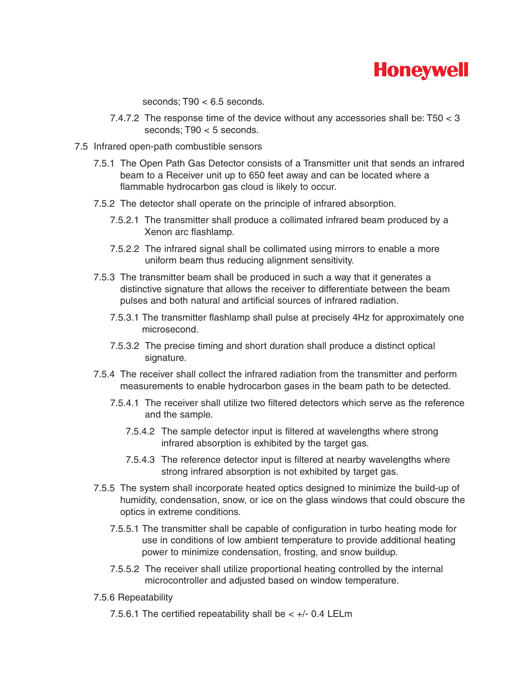# **Honeywell**

seconds; T90 < 6.5 seconds.

- 7.4.7.2 The response time of the device without any accessories shall be: T50 < 3 seconds; T90 < 5 seconds.
- 7.5 Infrared open-path combustible sensors
	- 7.5.1 The Open Path Gas Detector consists of a Transmitter unit that sends an infrared beam to a Receiver unit up to 650 feet away and can be located where a flammable hydrocarbon gas cloud is likely to occur.
	- 7.5.2 The detector shall operate on the principle of infrared absorption.
		- 7.5.2.1 The transmitter shall produce a collimated infrared beam produced by a Xenon arc flashlamp.
		- 7.5.2.2 The infrared signal shall be collimated using mirrors to enable a more uniform beam thus reducing alignment sensitivity.
	- 7.5.3 The transmitter beam shall be produced in such a way that it generates a distinctive signature that allows the receiver to differentiate between the beam pulses and both natural and artificial sources of infrared radiation.
		- 7.5.3.1 The transmitter flashlamp shall pulse at precisely 4Hz for approximately one microsecond.
		- 7.5.3.2 The precise timing and short duration shall produce a distinct optical signature.
	- 7.5.4 The receiver shall collect the infrared radiation from the transmitter and perform measurements to enable hydrocarbon gases in the beam path to be detected.
		- 7.5.4.1 The receiver shall utilize two filtered detectors which serve as the reference and the sample.
			- 7.5.4.2 The sample detector input is filtered at wavelengths where strong infrared absorption is exhibited by the target gas.
			- 7.5.4.3 The reference detector input is filtered at nearby wavelengths where strong infrared absorption is not exhibited by target gas.
	- 7.5.5 The system shall incorporate heated optics designed to minimize the build-up of humidity, condensation, snow, or ice on the glass windows that could obscure the optics in extreme conditions.
		- 7.5.5.1 The transmitter shall be capable of configuration in turbo heating mode for use in conditions of low ambient temperature to provide additional heating power to minimize condensation, frosting, and snow buildup.
		- 7.5.5.2 The receiver shall utilize proportional heating controlled by the internal microcontroller and adjusted based on window temperature.
	- 7.5.6 Repeatability
		- 7.5.6.1 The certified repeatability shall be  $< +/ 0.4$  LELm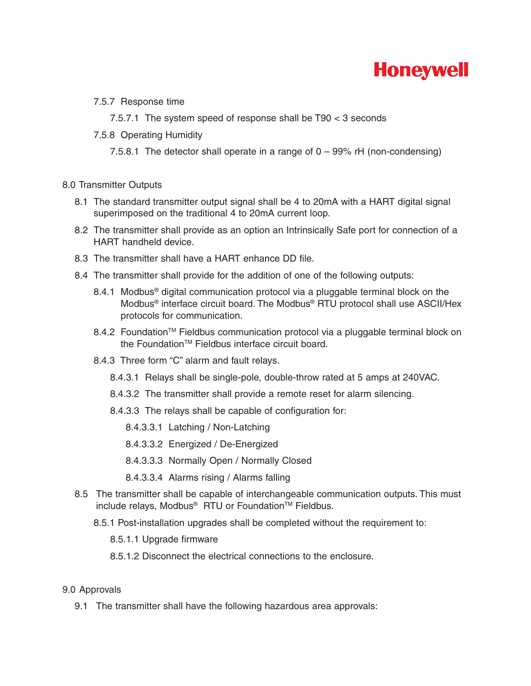

7.5.7 Response time

7.5.7.1 The system speed of response shall be T90 < 3 seconds

7.5.8 Operating Humidity

7.5.8.1 The detector shall operate in a range of 0 – 99% rH (non-condensing)

### 8.0 Transmitter Outputs

- 8.1 The standard transmitter output signal shall be 4 to 20mA with a HART digital signal superimposed on the traditional 4 to 20mA current loop.
- 8.2 The transmitter shall provide as an option an Intrinsically Safe port for connection of a HART handheld device.
- 8.3 The transmitter shall have a HART enhance DD file.
- 8.4 The transmitter shall provide for the addition of one of the following outputs:
	- 8.4.1 Modbus<sup>®</sup> digital communication protocol via a pluggable terminal block on the Modbus® interface circuit board. The Modbus® RTU protocol shall use ASCII/Hex protocols for communication.
	- 8.4.2 Foundation<sup>™</sup> Fieldbus communication protocol via a pluggable terminal block on the Foundation<sup>™</sup> Fieldbus interface circuit board.
	- 8.4.3 Three form "C" alarm and fault relays.
		- 8.4.3.1 Relays shall be single-pole, double-throw rated at 5 amps at 240VAC.
		- 8.4.3.2 The transmitter shall provide a remote reset for alarm silencing.
		- 8.4.3.3 The relays shall be capable of configuration for:
			- 8.4.3.3.1 Latching / Non-Latching
			- 8.4.3.3.2 Energized / De-Energized
			- 8.4.3.3.3 Normally Open / Normally Closed
			- 8.4.3.3.4 Alarms rising / Alarms falling
- 8.5 The transmitter shall be capable of interchangeable communication outputs. This must include relays, Modbus<sup>®</sup> RTU or Foundation<sup>™</sup> Fieldbus.
	- 8.5.1 Post-installation upgrades shall be completed without the requirement to:
		- 8.5.1.1 Upgrade firmware
		- 8.5.1.2 Disconnect the electrical connections to the enclosure.

### 9.0 Approvals

9.1 The transmitter shall have the following hazardous area approvals: